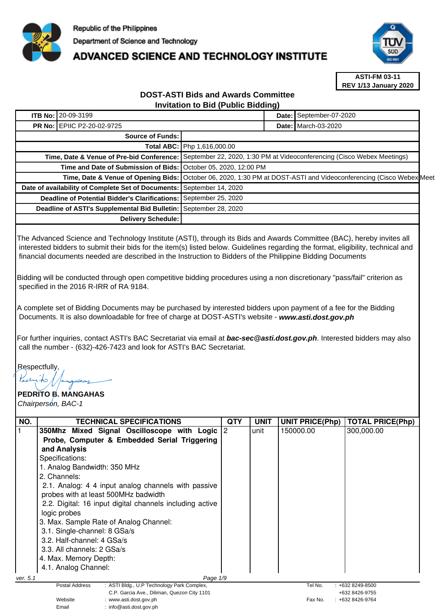

## **ADVANCED SCIENCE AND TECHNOLOGY INSTITUTE**



**ASTI-FM 03-11 REV 1/13 January 2020**

## **DOST-ASTI Bids and Awards Committee Invitation to Bid (Public Bidding)**

| <b>Delivery Schedule:</b> |                                                                                                                                                                          |                                                                                                                                                                      |                                                                 |                                                                                                                                                                                                                                                                                                    |
|---------------------------|--------------------------------------------------------------------------------------------------------------------------------------------------------------------------|----------------------------------------------------------------------------------------------------------------------------------------------------------------------|-----------------------------------------------------------------|----------------------------------------------------------------------------------------------------------------------------------------------------------------------------------------------------------------------------------------------------------------------------------------------------|
|                           | <b>ITB No: 20-09-3199</b><br><b>PR No: EPIIC P2-20-02-9725</b><br><b>Deadline of Potential Bidder's Clarifications:</b><br>Deadline of ASTI's Supplemental Bid Bulletin: | Source of Funds:<br>Total ABC: Php 1,616,000.00<br>Date of availability of Complete Set of Documents: September 14, 2020<br>September 25, 2020<br>September 28, 2020 | Time and Date of Submission of Bids: October 05, 2020, 12:00 PM | Date: September-07-2020<br><b>Date: I</b> March-03-2020<br>Time, Date & Venue of Pre-bid Conference: September 22, 2020, 1:30 PM at Videoconferencing (Cisco Webex Meetings)<br>Time, Date & Venue of Opening Bids: October 06, 2020, 1:30 PM at DOST-ASTI and Videoconferencing (Cisco Webex Meet |

The Advanced Science and Technology Institute (ASTI), through its Bids and Awards Committee (BAC), hereby invites all interested bidders to submit their bids for the item(s) listed below. Guidelines regarding the format, eligibility, technical and financial documents needed are described in the Instruction to Bidders of the Philippine Bidding Documents

Bidding will be conducted through open competitive bidding procedures using a non discretionary "pass/fail" criterion as specified in the 2016 R-IRR of RA 9184.

A complete set of Bidding Documents may be purchased by interested bidders upon payment of a fee for the Bidding Documents. It is also downloadable for free of charge at DOST-ASTI's website - **www.asti.dost.gov.ph**

For further inquiries, contact ASTI's BAC Secretariat via email at **bac-sec@asti.dost.gov.ph**. Interested bidders may also call the number - (632)-426-7423 and look for ASTI's BAC Secretariat.

Respectfully,

Email : info@asti.dost.gov.ph

## **PEDRITO B. MANGAHAS**  Chairperson, BAC-1

| NO.      | <b>TECHNICAL SPECIFICATIONS</b>                                     | QTY | <b>UNIT</b> | <b>UNIT PRICE(Php)</b> | <b>TOTAL PRICE(Php)</b> |
|----------|---------------------------------------------------------------------|-----|-------------|------------------------|-------------------------|
|          | 350Mhz Mixed Signal Oscilloscope with Logic 2                       |     | unit        | 150000.00              | 300,000.00              |
|          | Probe, Computer & Embedded Serial Triggering                        |     |             |                        |                         |
|          | and Analysis                                                        |     |             |                        |                         |
|          | Specifications:                                                     |     |             |                        |                         |
|          | 1. Analog Bandwidth: 350 MHz                                        |     |             |                        |                         |
|          | 2. Channels:                                                        |     |             |                        |                         |
|          | 2.1. Analog: 4 4 input analog channels with passive                 |     |             |                        |                         |
|          | probes with at least 500MHz badwidth                                |     |             |                        |                         |
|          | 2.2. Digital: 16 input digital channels including active            |     |             |                        |                         |
|          | logic probes                                                        |     |             |                        |                         |
|          | 3. Max. Sample Rate of Analog Channel:                              |     |             |                        |                         |
|          | 3.1. Single-channel: 8 GSa/s                                        |     |             |                        |                         |
|          | 3.2. Half-channel: 4 GSa/s                                          |     |             |                        |                         |
|          | 3.3. All channels: 2 GSa/s                                          |     |             |                        |                         |
|          | 4. Max. Memory Depth:                                               |     |             |                        |                         |
|          | 4.1. Analog Channel:                                                |     |             |                        |                         |
| ver. 5.1 | Page 1/9                                                            |     |             |                        |                         |
|          | : ASTI Bldg., U.P Technology Park Complex,<br><b>Postal Address</b> |     |             | Tel No.                | $: +6328249 - 8500$     |
|          | C.P. Garcia Ave., Diliman, Quezon City 1101                         |     |             |                        | +632 8426-9755          |
|          | Website<br>www.asti.dost.gov.ph                                     |     |             | Fax No.                | +632 8426-9764          |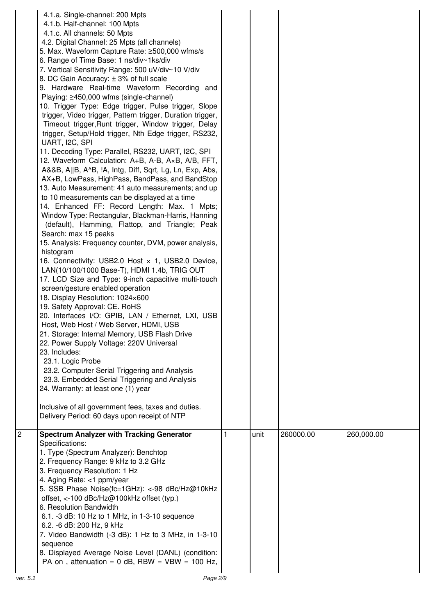|                | 4.1.a. Single-channel: 200 Mpts<br>4.1.b. Half-channel: 100 Mpts<br>4.1.c. All channels: 50 Mpts<br>4.2. Digital Channel: 25 Mpts (all channels)<br>5. Max. Waveform Capture Rate: ≥500,000 wfms/s<br>6. Range of Time Base: 1 ns/div~1ks/div<br>7. Vertical Sensitivity Range: 500 uV/div~10 V/div<br>8. DC Gain Accuracy: ± 3% of full scale<br>9. Hardware Real-time Waveform Recording and<br>Playing: ≥450,000 wfms (single-channel)<br>10. Trigger Type: Edge trigger, Pulse trigger, Slope<br>trigger, Video trigger, Pattern trigger, Duration trigger,<br>Timeout trigger, Runt trigger, Window trigger, Delay<br>trigger, Setup/Hold trigger, Nth Edge trigger, RS232,<br>UART, I2C, SPI<br>11. Decoding Type: Parallel, RS232, UART, I2C, SPI<br>12. Waveform Calculation: A+B, A-B, A×B, A/B, FFT,<br>A&&B, A  B, A^B, !A, Intg, Diff, Sqrt, Lg, Ln, Exp, Abs,<br>AX+B, LowPass, HighPass, BandPass, and BandStop<br>13. Auto Measurement: 41 auto measurements; and up<br>to 10 measurements can be displayed at a time<br>14. Enhanced FF: Record Length: Max. 1 Mpts;<br>Window Type: Rectangular, Blackman-Harris, Hanning<br>(default), Hamming, Flattop, and Triangle; Peak<br>Search: max 15 peaks<br>15. Analysis: Frequency counter, DVM, power analysis,<br>histogram<br>16. Connectivity: USB2.0 Host x 1, USB2.0 Device,<br>LAN(10/100/1000 Base-T), HDMI 1.4b, TRIG OUT<br>17. LCD Size and Type: 9-inch capacitive multi-touch<br>screen/gesture enabled operation<br>18. Display Resolution: 1024×600<br>19. Safety Approval: CE. RoHS<br>20. Interfaces I/O: GPIB, LAN / Ethernet, LXI, USB<br>Host, Web Host / Web Server, HDMI, USB<br>21. Storage: Internal Memory, USB Flash Drive<br>22. Power Supply Voltage: 220V Universal<br>23. Includes:<br>23.1. Logic Probe<br>23.2. Computer Serial Triggering and Analysis<br>23.3. Embedded Serial Triggering and Analysis<br>24. Warranty: at least one (1) year<br>Inclusive of all government fees, taxes and duties.<br>Delivery Period: 60 days upon receipt of NTP |      |           |            |
|----------------|------------------------------------------------------------------------------------------------------------------------------------------------------------------------------------------------------------------------------------------------------------------------------------------------------------------------------------------------------------------------------------------------------------------------------------------------------------------------------------------------------------------------------------------------------------------------------------------------------------------------------------------------------------------------------------------------------------------------------------------------------------------------------------------------------------------------------------------------------------------------------------------------------------------------------------------------------------------------------------------------------------------------------------------------------------------------------------------------------------------------------------------------------------------------------------------------------------------------------------------------------------------------------------------------------------------------------------------------------------------------------------------------------------------------------------------------------------------------------------------------------------------------------------------------------------------------------------------------------------------------------------------------------------------------------------------------------------------------------------------------------------------------------------------------------------------------------------------------------------------------------------------------------------------------------------------------------------------------------------------------------------------------------------------------------|------|-----------|------------|
| $\overline{c}$ | <b>Spectrum Analyzer with Tracking Generator</b><br>Specifications:<br>1. Type (Spectrum Analyzer): Benchtop<br>2. Frequency Range: 9 kHz to 3.2 GHz<br>3. Frequency Resolution: 1 Hz<br>4. Aging Rate: <1 ppm/year<br>5. SSB Phase Noise(fc=1GHz): <- 98 dBc/Hz@10kHz<br>offset, <-100 dBc/Hz@100kHz offset (typ.)<br>6. Resolution Bandwidth<br>6.1. -3 dB: 10 Hz to 1 MHz, in 1-3-10 sequence<br>6.2. -6 dB: 200 Hz, 9 kHz<br>7. Video Bandwidth (-3 dB): 1 Hz to 3 MHz, in 1-3-10<br>sequence<br>8. Displayed Average Noise Level (DANL) (condition:<br>PA on, attenuation = $0$ dB, RBW = $VBW = 100$ Hz,                                                                                                                                                                                                                                                                                                                                                                                                                                                                                                                                                                                                                                                                                                                                                                                                                                                                                                                                                                                                                                                                                                                                                                                                                                                                                                                                                                                                                                       | unit | 260000.00 | 260,000.00 |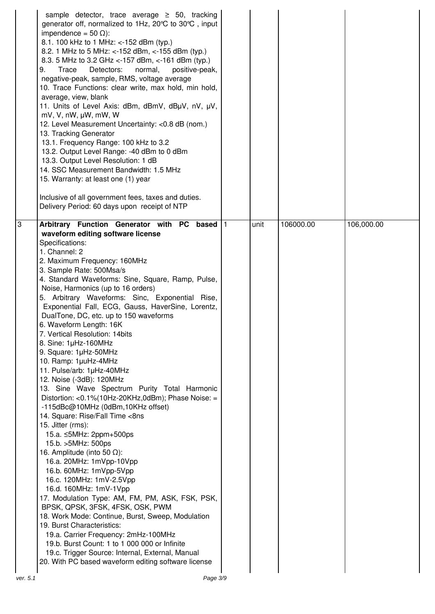|                | sample detector, trace average $\geq$ 50, tracking<br>generator off, normalized to 1Hz, 20°C to 30°C, input<br>impendence = $50 \Omega$ :<br>8.1. 100 kHz to 1 MHz: <-152 dBm (typ.)<br>8.2. 1 MHz to 5 MHz: <-152 dBm, <-155 dBm (typ.)<br>8.3. 5 MHz to 3.2 GHz <-157 dBm, <-161 dBm (typ.)<br>Detectors:<br>normal,<br>positive-peak,<br>9.<br>Trace<br>negative-peak, sample, RMS, voltage average<br>10. Trace Functions: clear write, max hold, min hold,<br>average, view, blank<br>11. Units of Level Axis: dBm, dBmV, dBµV, nV, µV,<br>$mV$ , V, nW, $\mu W$ , mW, W<br>12. Level Measurement Uncertainty: <0.8 dB (nom.)<br>13. Tracking Generator<br>13.1. Frequency Range: 100 kHz to 3.2<br>13.2. Output Level Range: -40 dBm to 0 dBm<br>13.3. Output Level Resolution: 1 dB<br>14. SSC Measurement Bandwidth: 1.5 MHz<br>15. Warranty: at least one (1) year<br>Inclusive of all government fees, taxes and duties.<br>Delivery Period: 60 days upon receipt of NTP                                                                                                                                                                                                                                                                                                                                                                                                                                  |      |           |            |
|----------------|---------------------------------------------------------------------------------------------------------------------------------------------------------------------------------------------------------------------------------------------------------------------------------------------------------------------------------------------------------------------------------------------------------------------------------------------------------------------------------------------------------------------------------------------------------------------------------------------------------------------------------------------------------------------------------------------------------------------------------------------------------------------------------------------------------------------------------------------------------------------------------------------------------------------------------------------------------------------------------------------------------------------------------------------------------------------------------------------------------------------------------------------------------------------------------------------------------------------------------------------------------------------------------------------------------------------------------------------------------------------------------------------------------------------|------|-----------|------------|
| $\overline{3}$ | Arbitrary Function Generator with PC based 1<br>waveform editing software license<br>Specifications:<br>1. Channel: 2<br>2. Maximum Frequency: 160MHz<br>3. Sample Rate: 500Msa/s<br>4. Standard Waveforms: Sine, Square, Ramp, Pulse,<br>Noise, Harmonics (up to 16 orders)<br>5. Arbitrary Waveforms: Sinc, Exponential Rise,<br>Exponential Fall, ECG, Gauss, HaverSine, Lorentz,<br>DualTone, DC, etc. up to 150 waveforms<br>6. Waveform Length: 16K<br>7. Vertical Resolution: 14bits<br>8. Sine: 1µHz-160MHz<br>9. Square: 1µHz-50MHz<br>10. Ramp: 1µuHz-4MHz<br>11. Pulse/arb: 1µHz-40MHz<br>12. Noise (-3dB): 120MHz<br>13. Sine Wave Spectrum Purity Total Harmonic<br>Distortion: <0.1%(10Hz-20KHz,0dBm); Phase Noise: =<br>-115dBc@10MHz (0dBm,10KHz offset)<br>14. Square: Rise/Fall Time <8ns<br>15. Jitter (rms):<br>15.a. ≤5MHz: 2ppm+500ps<br>15.b. > 5MHz: 500ps<br>16. Amplitude (into 50 $\Omega$ ):<br>16.a. 20MHz: 1mVpp-10Vpp<br>16.b. 60MHz: 1mVpp-5Vpp<br>16.c. 120MHz: 1mV-2.5Vpp<br>16.d. 160MHz: 1mV-1Vpp<br>17. Modulation Type: AM, FM, PM, ASK, FSK, PSK,<br>BPSK, QPSK, 3FSK, 4FSK, OSK, PWM<br>18. Work Mode: Continue, Burst, Sweep, Modulation<br>19. Burst Characteristics:<br>19.a. Carrier Frequency: 2mHz-100MHz<br>19.b. Burst Count: 1 to 1 000 000 or Infinite<br>19.c. Trigger Source: Internal, External, Manual<br>20. With PC based waveform editing software license | unit | 106000.00 | 106,000.00 |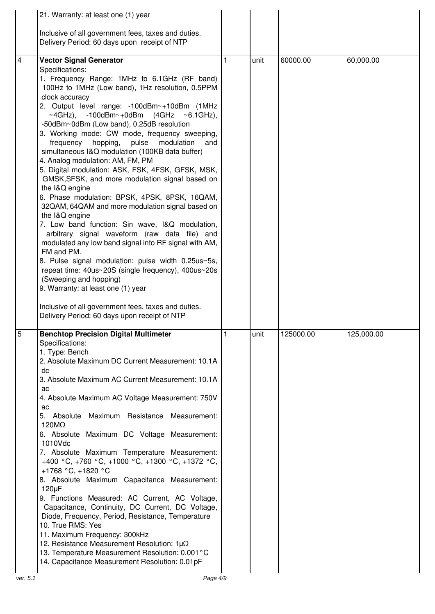|                | 21. Warranty: at least one (1) year                                                                   |              |      |           |            |
|----------------|-------------------------------------------------------------------------------------------------------|--------------|------|-----------|------------|
|                | Inclusive of all government fees, taxes and duties.                                                   |              |      |           |            |
|                | Delivery Period: 60 days upon receipt of NTP                                                          |              |      |           |            |
|                |                                                                                                       |              |      |           |            |
| $\overline{4}$ | <b>Vector Signal Generator</b>                                                                        | 1            | unit | 60000.00  | 60,000.00  |
|                | Specifications:                                                                                       |              |      |           |            |
|                | 1. Frequency Range: 1MHz to 6.1GHz (RF band)                                                          |              |      |           |            |
|                | 100Hz to 1MHz (Low band), 1Hz resolution, 0.5PPM<br>clock accuracy                                    |              |      |           |            |
|                | 2. Output level range: -100dBm~+10dBm (1MHz                                                           |              |      |           |            |
|                | $\sim$ 4GHz), -100dBm $\sim$ +0dBm (4GHz $\sim$ 6.1GHz),                                              |              |      |           |            |
|                | -50dBm~0dBm (Low band), 0.25dB resolution                                                             |              |      |           |            |
|                | 3. Working mode: CW mode, frequency sweeping,                                                         |              |      |           |            |
|                | frequency hopping,<br>pulse<br>modulation<br>and                                                      |              |      |           |            |
|                | simultaneous I&Q modulation (100KB data buffer)<br>4. Analog modulation: AM, FM, PM                   |              |      |           |            |
|                | 5. Digital modulation: ASK, FSK, 4FSK, GFSK, MSK,                                                     |              |      |           |            |
|                | GMSK, SFSK, and more modulation signal based on                                                       |              |      |           |            |
|                | the I&Q engine                                                                                        |              |      |           |            |
|                | 6. Phase modulation: BPSK, 4PSK, 8PSK, 16QAM,                                                         |              |      |           |            |
|                | 32QAM, 64QAM and more modulation signal based on                                                      |              |      |           |            |
|                | the I&Q engine<br>7. Low band function: Sin wave, I&Q modulation,                                     |              |      |           |            |
|                | arbitrary signal waveform (raw data file) and                                                         |              |      |           |            |
|                | modulated any low band signal into RF signal with AM,                                                 |              |      |           |            |
|                | FM and PM.                                                                                            |              |      |           |            |
|                | 8. Pulse signal modulation: pulse width 0.25us~5s,                                                    |              |      |           |            |
|                | repeat time: 40us~20S (single frequency), 400us~20s                                                   |              |      |           |            |
|                | (Sweeping and hopping)<br>9. Warranty: at least one (1) year                                          |              |      |           |            |
|                |                                                                                                       |              |      |           |            |
|                | Inclusive of all government fees, taxes and duties.                                                   |              |      |           |            |
|                | Delivery Period: 60 days upon receipt of NTP                                                          |              |      |           |            |
|                | <b>Benchtop Precision Digital Multimeter</b>                                                          | $\mathbf{1}$ | unit | 125000.00 | 125,000.00 |
|                | Specifications:                                                                                       |              |      |           |            |
|                | 1. Type: Bench                                                                                        |              |      |           |            |
|                | 2. Absolute Maximum DC Current Measurement: 10.1A                                                     |              |      |           |            |
|                | dc                                                                                                    |              |      |           |            |
|                | 3. Absolute Maximum AC Current Measurement: 10.1A                                                     |              |      |           |            |
|                | ac<br>4. Absolute Maximum AC Voltage Measurement: 750V                                                |              |      |           |            |
|                | ac                                                                                                    |              |      |           |            |
|                | 5. Absolute<br>Maximum Resistance Measurement:                                                        |              |      |           |            |
|                | 120MQ                                                                                                 |              |      |           |            |
|                | 6. Absolute Maximum DC Voltage Measurement:                                                           |              |      |           |            |
|                | 1010Vdc<br>7. Absolute Maximum Temperature Measurement:                                               |              |      |           |            |
|                | +400 °C, +760 °C, +1000 °C, +1300 °C, +1372 °C,                                                       |              |      |           |            |
|                | +1768 °C, +1820 °C                                                                                    |              |      |           |            |
|                | 8. Absolute Maximum Capacitance Measurement:                                                          |              |      |           |            |
|                | $120\mu F$                                                                                            |              |      |           |            |
|                | 9. Functions Measured: AC Current, AC Voltage,                                                        |              |      |           |            |
|                | Capacitance, Continuity, DC Current, DC Voltage,<br>Diode, Frequency, Period, Resistance, Temperature |              |      |           |            |
|                |                                                                                                       |              |      |           |            |
|                | 10. True RMS: Yes                                                                                     |              |      |           |            |
|                | 11. Maximum Frequency: 300kHz                                                                         |              |      |           |            |
|                | 12. Resistance Measurement Resolution: $1\mu\Omega$                                                   |              |      |           |            |
|                | 13. Temperature Measurement Resolution: 0.001°C<br>14. Capacitance Measurement Resolution: 0.01pF     |              |      |           |            |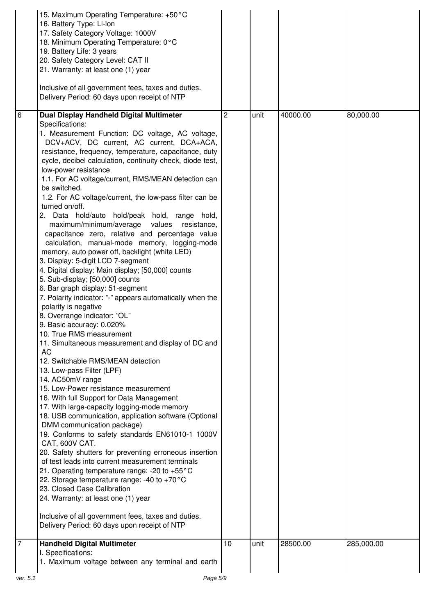|                | 15. Maximum Operating Temperature: +50°C<br>16. Battery Type: Li-lon<br>17. Safety Category Voltage: 1000V<br>18. Minimum Operating Temperature: 0°C<br>19. Battery Life: 3 years<br>20. Safety Category Level: CAT II<br>21. Warranty: at least one (1) year<br>Inclusive of all government fees, taxes and duties.<br>Delivery Period: 60 days upon receipt of NTP                                                                                                                                                                                                                                                                                                                                                                                                                                                                                                                                                                                                                                                                                                                                                                                                                                                                                                                                                                                                                                                                                                                                                                                                                                                                                                                                                                                                    |                |      |          |            |
|----------------|-------------------------------------------------------------------------------------------------------------------------------------------------------------------------------------------------------------------------------------------------------------------------------------------------------------------------------------------------------------------------------------------------------------------------------------------------------------------------------------------------------------------------------------------------------------------------------------------------------------------------------------------------------------------------------------------------------------------------------------------------------------------------------------------------------------------------------------------------------------------------------------------------------------------------------------------------------------------------------------------------------------------------------------------------------------------------------------------------------------------------------------------------------------------------------------------------------------------------------------------------------------------------------------------------------------------------------------------------------------------------------------------------------------------------------------------------------------------------------------------------------------------------------------------------------------------------------------------------------------------------------------------------------------------------------------------------------------------------------------------------------------------------|----------------|------|----------|------------|
| 6              | Dual Display Handheld Digital Multimeter                                                                                                                                                                                                                                                                                                                                                                                                                                                                                                                                                                                                                                                                                                                                                                                                                                                                                                                                                                                                                                                                                                                                                                                                                                                                                                                                                                                                                                                                                                                                                                                                                                                                                                                                | $\overline{c}$ | unit | 40000.00 | 80,000.00  |
|                | Specifications:<br>1. Measurement Function: DC voltage, AC voltage,<br>DCV+ACV, DC current, AC current, DCA+ACA,<br>resistance, frequency, temperature, capacitance, duty<br>cycle, decibel calculation, continuity check, diode test,<br>low-power resistance<br>1.1. For AC voltage/current, RMS/MEAN detection can<br>be switched.<br>1.2. For AC voltage/current, the low-pass filter can be<br>turned on/off.<br>2. Data hold/auto hold/peak hold, range hold,<br>maximum/minimum/average values resistance,<br>capacitance zero, relative and percentage value<br>calculation, manual-mode memory, logging-mode<br>memory, auto power off, backlight (white LED)<br>3. Display: 5-digit LCD 7-segment<br>4. Digital display: Main display; [50,000] counts<br>5. Sub-display; [50,000] counts<br>6. Bar graph display: 51-segment<br>7. Polarity indicator: "-" appears automatically when the<br>polarity is negative<br>8. Overrange indicator: "OL"<br>9. Basic accuracy: 0.020%<br>10. True RMS measurement<br>11. Simultaneous measurement and display of DC and<br>AC<br>12. Switchable RMS/MEAN detection<br>13. Low-pass Filter (LPF)<br>14. AC50mV range<br>15. Low-Power resistance measurement<br>16. With full Support for Data Management<br>17. With large-capacity logging-mode memory<br>18. USB communication, application software (Optional<br>DMM communication package)<br>19. Conforms to safety standards EN61010-1 1000V<br>CAT, 600V CAT.<br>20. Safety shutters for preventing erroneous insertion<br>of test leads into current measurement terminals<br>21. Operating temperature range: -20 to +55°C<br>22. Storage temperature range: -40 to +70 $^{\circ}$ C<br>23. Closed Case Calibration<br>24. Warranty: at least one (1) year |                |      |          |            |
|                | Inclusive of all government fees, taxes and duties.<br>Delivery Period: 60 days upon receipt of NTP                                                                                                                                                                                                                                                                                                                                                                                                                                                                                                                                                                                                                                                                                                                                                                                                                                                                                                                                                                                                                                                                                                                                                                                                                                                                                                                                                                                                                                                                                                                                                                                                                                                                     |                |      |          |            |
| $\overline{7}$ | <b>Handheld Digital Multimeter</b>                                                                                                                                                                                                                                                                                                                                                                                                                                                                                                                                                                                                                                                                                                                                                                                                                                                                                                                                                                                                                                                                                                                                                                                                                                                                                                                                                                                                                                                                                                                                                                                                                                                                                                                                      | 10             | unit | 28500.00 | 285,000.00 |
|                | I. Specifications:<br>1. Maximum voltage between any terminal and earth                                                                                                                                                                                                                                                                                                                                                                                                                                                                                                                                                                                                                                                                                                                                                                                                                                                                                                                                                                                                                                                                                                                                                                                                                                                                                                                                                                                                                                                                                                                                                                                                                                                                                                 |                |      |          |            |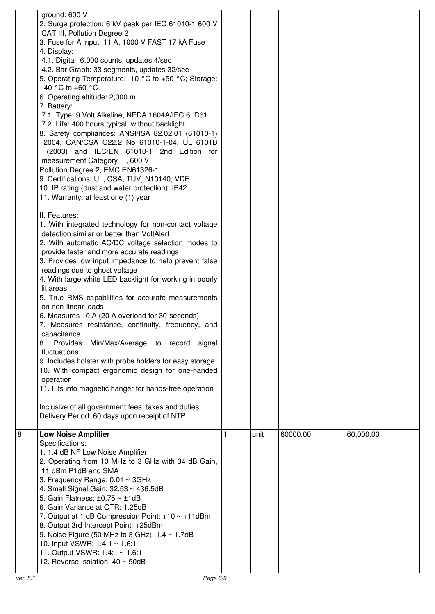|          | ground: 600 V<br>2. Surge protection: 6 kV peak per IEC 61010-1 600 V<br>CAT III, Pollution Degree 2<br>3. Fuse for A input: 11 A, 1000 V FAST 17 kA Fuse<br>4. Display:<br>4.1. Digital: 6,000 counts, updates 4/sec<br>4.2. Bar Graph: 33 segments, updates 32/sec<br>5. Operating Temperature: -10 °C to +50 °C; Storage:<br>-40 °C to +60 °C<br>6. Operating altitude: 2,000 m<br>7. Battery:<br>7.1. Type: 9 Volt Alkaline, NEDA 1604A/IEC 6LR61<br>7.2. Life: 400 hours typical, without backlight<br>8. Safety compliances: ANSI/ISA 82.02.01 (61010-1)<br>2004, CAN/CSA C22.2 No 61010-1-04, UL 6101B<br>(2003) and IEC/EN 61010-1 2nd Edition for<br>measurement Category III, 600 V,<br>Pollution Degree 2, EMC EN61326-1<br>9. Certifications: UL, CSA, TUV, N10140, VDE<br>10. IP rating (dust and water protection): IP42<br>11. Warranty: at least one (1) year<br>II. Features:<br>1. With integrated technology for non-contact voltage<br>detection similar or better than VoltAlert<br>2. With automatic AC/DC voltage selection modes to<br>provide faster and more accurate readings<br>3. Provides low input impedance to help prevent false<br>readings due to ghost voltage<br>4. With large white LED backlight for working in poorly<br>lit areas<br>5. True RMS capabilities for accurate measurements<br>on non-linear loads<br>6. Measures 10 A (20 A overload for 30-seconds)<br>7. Measures resistance, continuity, frequency, and<br>capacitance<br>8. Provides<br>Min/Max/Average to record signal<br>fluctuations<br>9. Includes holster with probe holders for easy storage<br>10. With compact ergonomic design for one-handed<br>operation<br>11. Fits into magnetic hanger for hands-free operation<br>Inclusive of all government fees, taxes and duties<br>Delivery Period: 60 days upon receipt of NTP |   |      |          |           |
|----------|------------------------------------------------------------------------------------------------------------------------------------------------------------------------------------------------------------------------------------------------------------------------------------------------------------------------------------------------------------------------------------------------------------------------------------------------------------------------------------------------------------------------------------------------------------------------------------------------------------------------------------------------------------------------------------------------------------------------------------------------------------------------------------------------------------------------------------------------------------------------------------------------------------------------------------------------------------------------------------------------------------------------------------------------------------------------------------------------------------------------------------------------------------------------------------------------------------------------------------------------------------------------------------------------------------------------------------------------------------------------------------------------------------------------------------------------------------------------------------------------------------------------------------------------------------------------------------------------------------------------------------------------------------------------------------------------------------------------------------------------------------------------------------------------------------------------------------------------|---|------|----------|-----------|
| 8        | <b>Low Noise Amplifier</b><br>Specifications:<br>1. 1.4 dB NF Low Noise Amplifier<br>2. Operating from 10 MHz to 3 GHz with 34 dB Gain,<br>11 dBm P1dB and SMA<br>3. Frequency Range: 0.01 ~ 3GHz<br>4. Small Signal Gain: 32.53 ~ 436.5dB<br>5. Gain Flatness: $\pm 0.75 \sim \pm 1$ dB<br>6. Gain Variance at OTR: 1.25dB<br>7. Output at 1 dB Compression Point: $+10 \sim +11$ dBm<br>8. Output 3rd Intercept Point: +25dBm<br>9. Noise Figure (50 MHz to 3 GHz): $1.4 \sim 1.7$ dB<br>10. Input VSWR: 1.4:1 ~ 1.6:1<br>11. Output VSWR: 1.4:1 ~ 1.6:1<br>12. Reverse Isolation: 40 ~ 50dB                                                                                                                                                                                                                                                                                                                                                                                                                                                                                                                                                                                                                                                                                                                                                                                                                                                                                                                                                                                                                                                                                                                                                                                                                                                 | 1 | unit | 60000.00 | 60,000.00 |
| ver. 5.1 | Page 6/9                                                                                                                                                                                                                                                                                                                                                                                                                                                                                                                                                                                                                                                                                                                                                                                                                                                                                                                                                                                                                                                                                                                                                                                                                                                                                                                                                                                                                                                                                                                                                                                                                                                                                                                                                                                                                                       |   |      |          |           |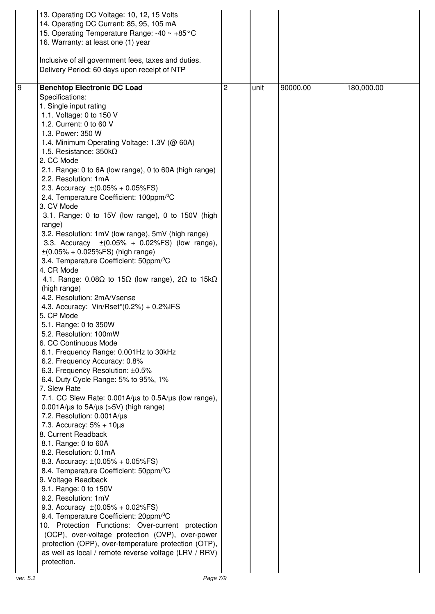|          | 13. Operating DC Voltage: 10, 12, 15 Volts                                                                   |   |      |          |            |
|----------|--------------------------------------------------------------------------------------------------------------|---|------|----------|------------|
|          | 14. Operating DC Current: 85, 95, 105 mA<br>15. Operating Temperature Range: -40 ~ +85°C                     |   |      |          |            |
|          | 16. Warranty: at least one (1) year                                                                          |   |      |          |            |
|          |                                                                                                              |   |      |          |            |
|          | Inclusive of all government fees, taxes and duties.                                                          |   |      |          |            |
|          | Delivery Period: 60 days upon receipt of NTP                                                                 |   |      |          |            |
|          |                                                                                                              |   |      |          |            |
| <b>9</b> | <b>Benchtop Electronic DC Load</b>                                                                           | 2 | unit | 90000.00 | 180,000.00 |
|          | Specifications:                                                                                              |   |      |          |            |
|          | 1. Single input rating                                                                                       |   |      |          |            |
|          | 1.1. Voltage: 0 to 150 V                                                                                     |   |      |          |            |
|          | 1.2. Current: 0 to 60 V<br>1.3. Power: 350 W                                                                 |   |      |          |            |
|          | 1.4. Minimum Operating Voltage: 1.3V (@ 60A)                                                                 |   |      |          |            |
|          | 1.5. Resistance: $350k\Omega$                                                                                |   |      |          |            |
|          | 2. CC Mode                                                                                                   |   |      |          |            |
|          | 2.1. Range: 0 to 6A (low range), 0 to 60A (high range)                                                       |   |      |          |            |
|          | 2.2. Resolution: 1mA                                                                                         |   |      |          |            |
|          | 2.3. Accuracy $\pm (0.05\% + 0.05\%$ FS)                                                                     |   |      |          |            |
|          | 2.4. Temperature Coefficient: 100ppm/°C                                                                      |   |      |          |            |
|          | 3. CV Mode                                                                                                   |   |      |          |            |
|          | 3.1. Range: 0 to 15V (low range), 0 to 150V (high                                                            |   |      |          |            |
|          | range)                                                                                                       |   |      |          |            |
|          | 3.2. Resolution: 1mV (low range), 5mV (high range)                                                           |   |      |          |            |
|          | 3.3. Accuracy $\pm (0.05\% + 0.02\% \text{FS})$ (low range),                                                 |   |      |          |            |
|          | $\pm (0.05\% + 0.025\%$ FS) (high range)                                                                     |   |      |          |            |
|          | 3.4. Temperature Coefficient: 50ppm/°C                                                                       |   |      |          |            |
|          | 4. CR Mode<br>4.1. Range: $0.08\Omega$ to 15 $\Omega$ (low range), $2\Omega$ to 15k $\Omega$                 |   |      |          |            |
|          | (high range)                                                                                                 |   |      |          |            |
|          | 4.2. Resolution: 2mA/Vsense                                                                                  |   |      |          |            |
|          | 4.3. Accuracy: Vin/Rset*(0.2%) + 0.2%IFS                                                                     |   |      |          |            |
|          | 5. CP Mode                                                                                                   |   |      |          |            |
|          | 5.1. Range: 0 to 350W                                                                                        |   |      |          |            |
|          | 5.2. Resolution: 100mW                                                                                       |   |      |          |            |
|          | 6. CC Continuous Mode                                                                                        |   |      |          |            |
|          | 6.1. Frequency Range: 0.001Hz to 30kHz                                                                       |   |      |          |            |
|          | 6.2. Frequency Accuracy: 0.8%                                                                                |   |      |          |            |
|          | 6.3. Frequency Resolution: ±0.5%                                                                             |   |      |          |            |
|          | 6.4. Duty Cycle Range: 5% to 95%, 1%                                                                         |   |      |          |            |
|          | 7. Slew Rate                                                                                                 |   |      |          |            |
|          | 7.1. CC Slew Rate: $0.001A/\mu s$ to $0.5A/\mu s$ (low range),<br>$0.001$ A/µs to $5A/µs$ (>5V) (high range) |   |      |          |            |
|          | 7.2. Resolution: 0.001A/us                                                                                   |   |      |          |            |
|          | 7.3. Accuracy: $5\% + 10\mu s$                                                                               |   |      |          |            |
|          | 8. Current Readback                                                                                          |   |      |          |            |
|          | 8.1. Range: 0 to 60A                                                                                         |   |      |          |            |
|          | 8.2. Resolution: 0.1mA                                                                                       |   |      |          |            |
|          | 8.3. Accuracy: $\pm (0.05\% + 0.05\% \text{FS})$                                                             |   |      |          |            |
|          | 8.4. Temperature Coefficient: 50ppm/°C                                                                       |   |      |          |            |
|          | 9. Voltage Readback                                                                                          |   |      |          |            |
|          | 9.1. Range: 0 to 150V                                                                                        |   |      |          |            |
|          | 9.2. Resolution: 1mV                                                                                         |   |      |          |            |
|          | 9.3. Accuracy $\pm (0.05\% + 0.02\% \text{FS})$                                                              |   |      |          |            |
|          | 9.4. Temperature Coefficient: 20ppm/ <sup>o</sup> C<br>10. Protection Functions: Over-current protection     |   |      |          |            |
|          | (OCP), over-voltage protection (OVP), over-power                                                             |   |      |          |            |
|          | protection (OPP), over-temperature protection (OTP),                                                         |   |      |          |            |
|          | as well as local / remote reverse voltage (LRV / RRV)                                                        |   |      |          |            |
|          | protection.                                                                                                  |   |      |          |            |
|          |                                                                                                              |   |      |          |            |
| ver. 5.1 | Page 7/9                                                                                                     |   |      |          |            |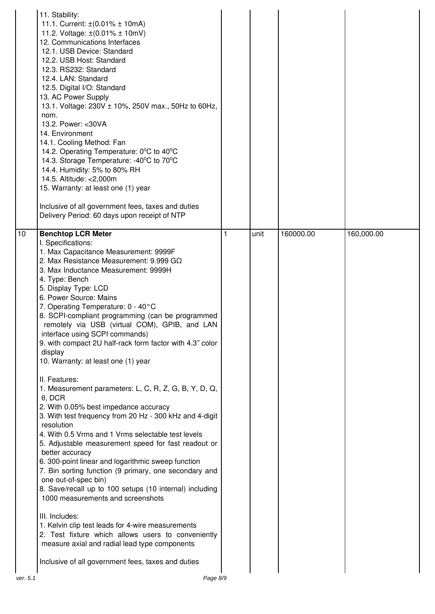|                 | 11. Stability:<br>11.1. Current: $\pm (0.01\% \pm 10 \text{mA})$<br>11.2. Voltage: $\pm (0.01\% \pm 10 \text{mV})$<br>12. Communications Interfaces<br>12.1. USB Device: Standard<br>12.2. USB Host: Standard<br>12.3. RS232: Standard<br>12.4. LAN: Standard<br>12.5. Digital I/O: Standard<br>13. AC Power Supply<br>13.1. Voltage: 230V ± 10%, 250V max., 50Hz to 60Hz,<br>nom.<br>13.2. Power: < 30VA<br>14. Environment<br>14.1. Cooling Method: Fan<br>14.2. Operating Temperature: 0°C to 40°C<br>14.3. Storage Temperature: -40°C to 70°C<br>14.4. Humidity: 5% to 80% RH<br>14.5. Altitude: < 2,000m<br>15. Warranty: at least one (1) year<br>Inclusive of all government fees, taxes and duties<br>Delivery Period: 60 days upon receipt of NTP                                                                                                                                                                                                                                                                                                                                                                                                                                                                                                                                                            |   |      |           |            |
|-----------------|-----------------------------------------------------------------------------------------------------------------------------------------------------------------------------------------------------------------------------------------------------------------------------------------------------------------------------------------------------------------------------------------------------------------------------------------------------------------------------------------------------------------------------------------------------------------------------------------------------------------------------------------------------------------------------------------------------------------------------------------------------------------------------------------------------------------------------------------------------------------------------------------------------------------------------------------------------------------------------------------------------------------------------------------------------------------------------------------------------------------------------------------------------------------------------------------------------------------------------------------------------------------------------------------------------------------------|---|------|-----------|------------|
| $\overline{10}$ | <b>Benchtop LCR Meter</b><br>I. Specifications:<br>1. Max Capacitance Measurement: 9999F<br>2. Max Resistance Measurement: 9.999 G $\Omega$<br>3. Max Inductance Measurement: 9999H<br>4. Type: Bench<br>5. Display Type: LCD<br>6. Power Source: Mains<br>7. Operating Temperature: 0 - 40°C<br>8. SCPI-compliant programming (can be programmed<br>remotely via USB (virtual COM), GPIB, and LAN<br>interface using SCPI commands)<br>9. with compact 2U half-rack form factor with 4.3" color<br>display<br>10. Warranty: at least one (1) year<br>II. Features:<br>1. Measurement parameters: L, C, R, Z, G, B, Y, D, Q,<br>$\theta$ , DCR<br>2. With 0.05% best impedance accuracy<br>3. With test frequency from 20 Hz - 300 kHz and 4-digit<br>resolution<br>4. With 0.5 Vrms and 1 Vrms selectable test levels<br>5. Adjustable measurement speed for fast readout or<br>better accuracy<br>6. 300-point linear and logarithmic sweep function<br>7. Bin sorting function (9 primary, one secondary and<br>one out-of-spec bin)<br>8. Save/recall up to 100 setups (10 internal) including<br>1000 measurements and screenshots<br>III. Includes:<br>1. Kelvin clip test leads for 4-wire measurements<br>2. Test fixture which allows users to conveniently<br>measure axial and radial lead type components | 1 | unit | 160000.00 | 160,000.00 |
|                 | Inclusive of all government fees, taxes and duties                                                                                                                                                                                                                                                                                                                                                                                                                                                                                                                                                                                                                                                                                                                                                                                                                                                                                                                                                                                                                                                                                                                                                                                                                                                                    |   |      |           |            |